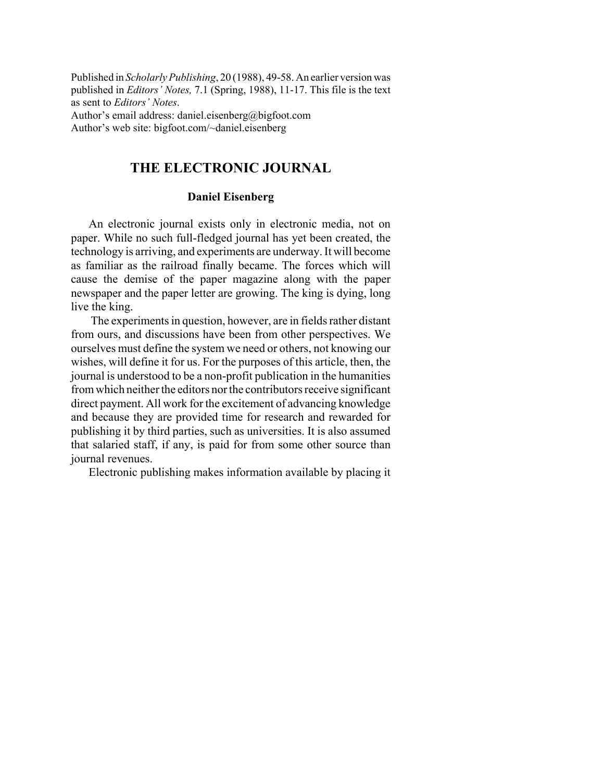Published in *Scholarly Publishing*, 20 (1988), 49-58. An earlier version was published in *Editors' Notes,* 7.1 (Spring, 1988), 11-17. This file is the text as sent to *Editors' Notes*. Author's email address: daniel.eisenberg@bigfoot.com Author's web site: bigfoot.com/~daniel.eisenberg

## **THE ELECTRONIC JOURNAL**

## **Daniel Eisenberg**

An electronic journal exists only in electronic media, not on paper. While no such full-fledged journal has yet been created, the technology is arriving, and experiments are underway. It will become as familiar as the railroad finally became. The forces which will cause the demise of the paper magazine along with the paper newspaper and the paper letter are growing. The king is dying, long live the king.

 The experiments in question, however, are in fields rather distant from ours, and discussions have been from other perspectives. We ourselves must define the system we need or others, not knowing our wishes, will define it for us. For the purposes of this article, then, the journal is understood to be a non-profit publication in the humanities from which neither the editors nor the contributors receive significant direct payment. All work for the excitement of advancing knowledge and because they are provided time for research and rewarded for publishing it by third parties, such as universities. It is also assumed that salaried staff, if any, is paid for from some other source than journal revenues.

Electronic publishing makes information available by placing it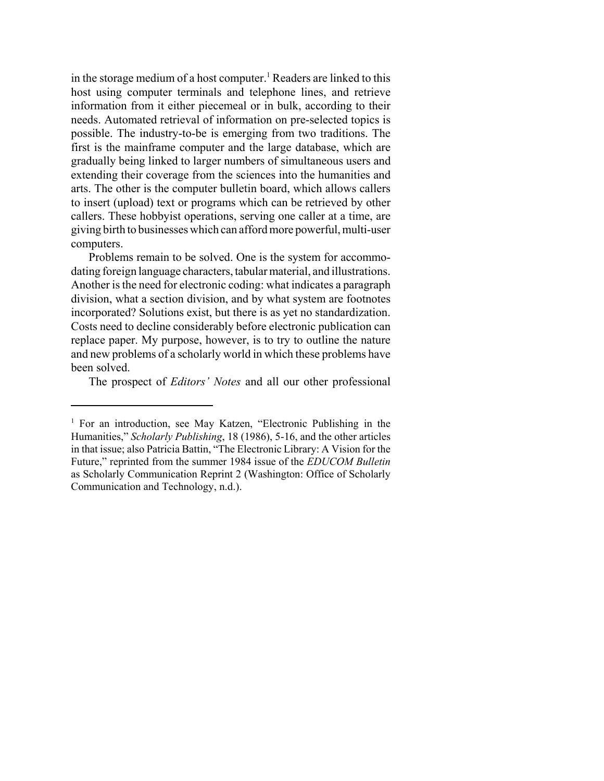in the storage medium of a host computer.<sup>1</sup> Readers are linked to this host using computer terminals and telephone lines, and retrieve information from it either piecemeal or in bulk, according to their needs. Automated retrieval of information on pre-selected topics is possible. The industry-to-be is emerging from two traditions. The first is the mainframe computer and the large database, which are gradually being linked to larger numbers of simultaneous users and extending their coverage from the sciences into the humanities and arts. The other is the computer bulletin board, which allows callers to insert (upload) text or programs which can be retrieved by other callers. These hobbyist operations, serving one caller at a time, are giving birth to businesses which can afford more powerful, multi-user computers.

Problems remain to be solved. One is the system for accommodating foreign language characters, tabular material, and illustrations. Another is the need for electronic coding: what indicates a paragraph division, what a section division, and by what system are footnotes incorporated? Solutions exist, but there is as yet no standardization. Costs need to decline considerably before electronic publication can replace paper. My purpose, however, is to try to outline the nature and new problems of a scholarly world in which these problems have been solved.

The prospect of *Editors' Notes* and all our other professional

<sup>&</sup>lt;sup>1</sup> For an introduction, see May Katzen, "Electronic Publishing in the Humanities," *Scholarly Publishing*, 18 (1986), 5-16, and the other articles in that issue; also Patricia Battin, "The Electronic Library: A Vision for the Future," reprinted from the summer 1984 issue of the *EDUCOM Bulletin* as Scholarly Communication Reprint 2 (Washington: Office of Scholarly Communication and Technology, n.d.).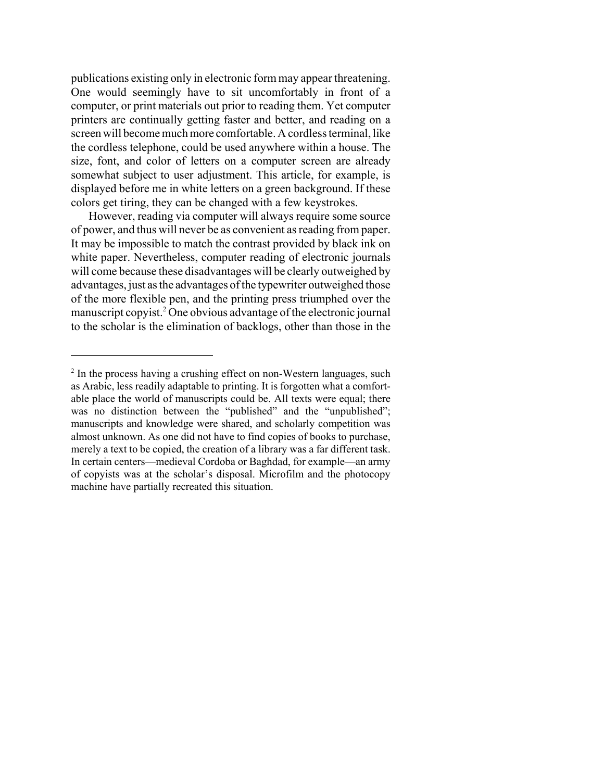publications existing only in electronic form may appear threatening. One would seemingly have to sit uncomfortably in front of a computer, or print materials out prior to reading them. Yet computer printers are continually getting faster and better, and reading on a screen will become much more comfortable. A cordless terminal, like the cordless telephone, could be used anywhere within a house. The size, font, and color of letters on a computer screen are already somewhat subject to user adjustment. This article, for example, is displayed before me in white letters on a green background. If these colors get tiring, they can be changed with a few keystrokes.

However, reading via computer will always require some source of power, and thus will never be as convenient as reading from paper. It may be impossible to match the contrast provided by black ink on white paper. Nevertheless, computer reading of electronic journals will come because these disadvantages will be clearly outweighed by advantages, just as the advantages of the typewriter outweighed those of the more flexible pen, and the printing press triumphed over the manuscript copyist.<sup>2</sup> One obvious advantage of the electronic journal to the scholar is the elimination of backlogs, other than those in the

<sup>&</sup>lt;sup>2</sup> In the process having a crushing effect on non-Western languages, such as Arabic, less readily adaptable to printing. It is forgotten what a comfortable place the world of manuscripts could be. All texts were equal; there was no distinction between the "published" and the "unpublished"; manuscripts and knowledge were shared, and scholarly competition was almost unknown. As one did not have to find copies of books to purchase, merely a text to be copied, the creation of a library was a far different task. In certain centers—medieval Cordoba or Baghdad, for example—an army of copyists was at the scholar's disposal. Microfilm and the photocopy machine have partially recreated this situation.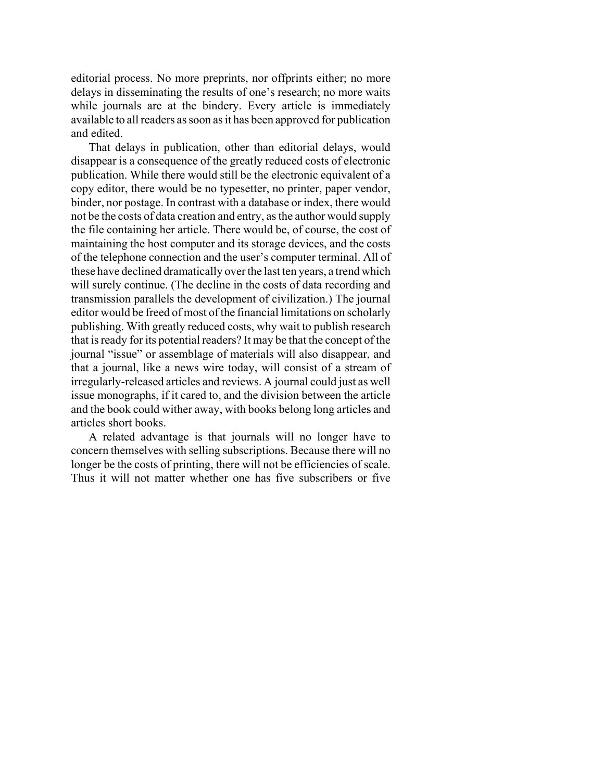editorial process. No more preprints, nor offprints either; no more delays in disseminating the results of one's research; no more waits while journals are at the bindery. Every article is immediately available to all readers as soon as it has been approved for publication and edited.

That delays in publication, other than editorial delays, would disappear is a consequence of the greatly reduced costs of electronic publication. While there would still be the electronic equivalent of a copy editor, there would be no typesetter, no printer, paper vendor, binder, nor postage. In contrast with a database or index, there would not be the costs of data creation and entry, as the author would supply the file containing her article. There would be, of course, the cost of maintaining the host computer and its storage devices, and the costs of the telephone connection and the user's computer terminal. All of these have declined dramatically over the last ten years, a trend which will surely continue. (The decline in the costs of data recording and transmission parallels the development of civilization.) The journal editor would be freed of most of the financial limitations on scholarly publishing. With greatly reduced costs, why wait to publish research that is ready for its potential readers? It may be that the concept of the journal "issue" or assemblage of materials will also disappear, and that a journal, like a news wire today, will consist of a stream of irregularly-released articles and reviews. A journal could just as well issue monographs, if it cared to, and the division between the article and the book could wither away, with books belong long articles and articles short books.

A related advantage is that journals will no longer have to concern themselves with selling subscriptions. Because there will no longer be the costs of printing, there will not be efficiencies of scale. Thus it will not matter whether one has five subscribers or five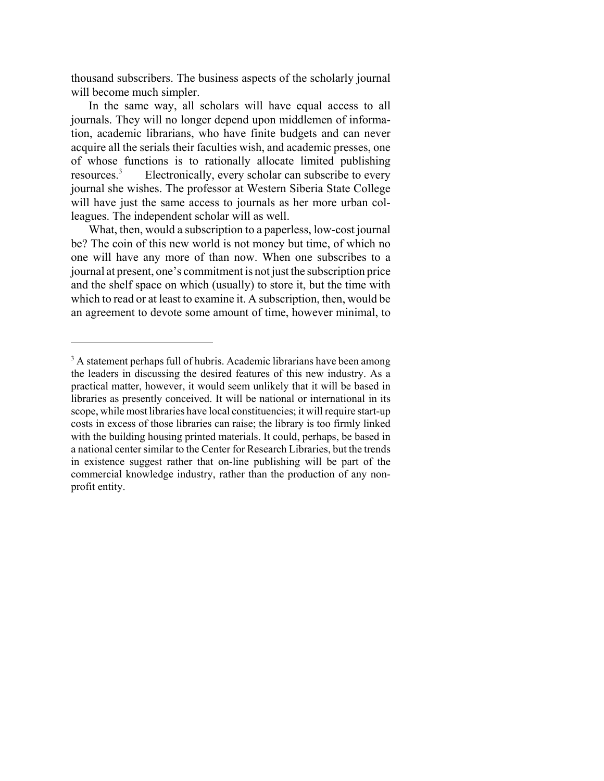thousand subscribers. The business aspects of the scholarly journal will become much simpler.

In the same way, all scholars will have equal access to all journals. They will no longer depend upon middlemen of information, academic librarians, who have finite budgets and can never acquire all the serials their faculties wish, and academic presses, one of whose functions is to rationally allocate limited publishing<br>resources.<sup>3</sup> Electronically, every scholar can subscribe to every Electronically, every scholar can subscribe to every journal she wishes. The professor at Western Siberia State College will have just the same access to journals as her more urban colleagues. The independent scholar will as well.

What, then, would a subscription to a paperless, low-cost journal be? The coin of this new world is not money but time, of which no one will have any more of than now. When one subscribes to a journal at present, one's commitment is not just the subscription price and the shelf space on which (usually) to store it, but the time with which to read or at least to examine it. A subscription, then, would be an agreement to devote some amount of time, however minimal, to

<sup>&</sup>lt;sup>3</sup> A statement perhaps full of hubris. Academic librarians have been among the leaders in discussing the desired features of this new industry. As a practical matter, however, it would seem unlikely that it will be based in libraries as presently conceived. It will be national or international in its scope, while most libraries have local constituencies; it will require start-up costs in excess of those libraries can raise; the library is too firmly linked with the building housing printed materials. It could, perhaps, be based in a national center similar to the Center for Research Libraries, but the trends in existence suggest rather that on-line publishing will be part of the commercial knowledge industry, rather than the production of any nonprofit entity.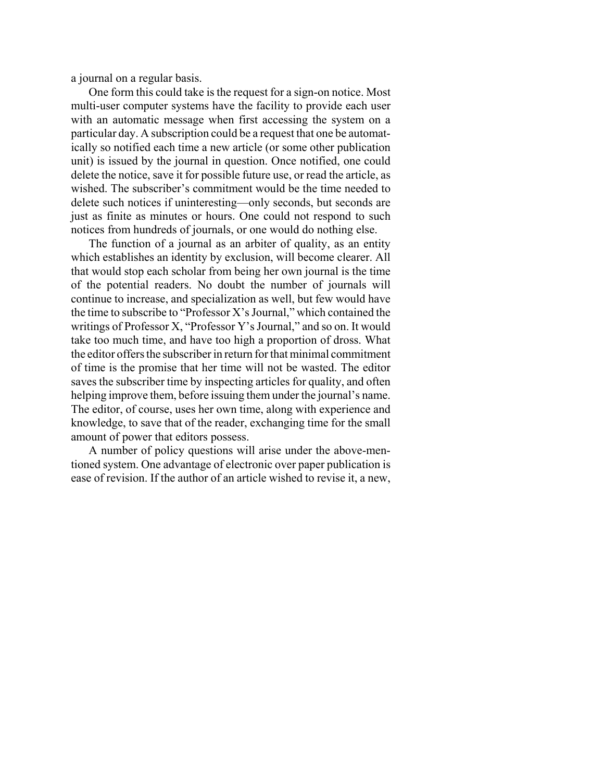a journal on a regular basis.

One form this could take is the request for a sign-on notice. Most multi-user computer systems have the facility to provide each user with an automatic message when first accessing the system on a particular day. A subscription could be a request that one be automatically so notified each time a new article (or some other publication unit) is issued by the journal in question. Once notified, one could delete the notice, save it for possible future use, or read the article, as wished. The subscriber's commitment would be the time needed to delete such notices if uninteresting—only seconds, but seconds are just as finite as minutes or hours. One could not respond to such notices from hundreds of journals, or one would do nothing else.

The function of a journal as an arbiter of quality, as an entity which establishes an identity by exclusion, will become clearer. All that would stop each scholar from being her own journal is the time of the potential readers. No doubt the number of journals will continue to increase, and specialization as well, but few would have the time to subscribe to "Professor X's Journal," which contained the writings of Professor X, "Professor Y's Journal," and so on. It would take too much time, and have too high a proportion of dross. What the editor offers the subscriber in return for that minimal commitment of time is the promise that her time will not be wasted. The editor saves the subscriber time by inspecting articles for quality, and often helping improve them, before issuing them under the journal's name. The editor, of course, uses her own time, along with experience and knowledge, to save that of the reader, exchanging time for the small amount of power that editors possess.

A number of policy questions will arise under the above-mentioned system. One advantage of electronic over paper publication is ease of revision. If the author of an article wished to revise it, a new,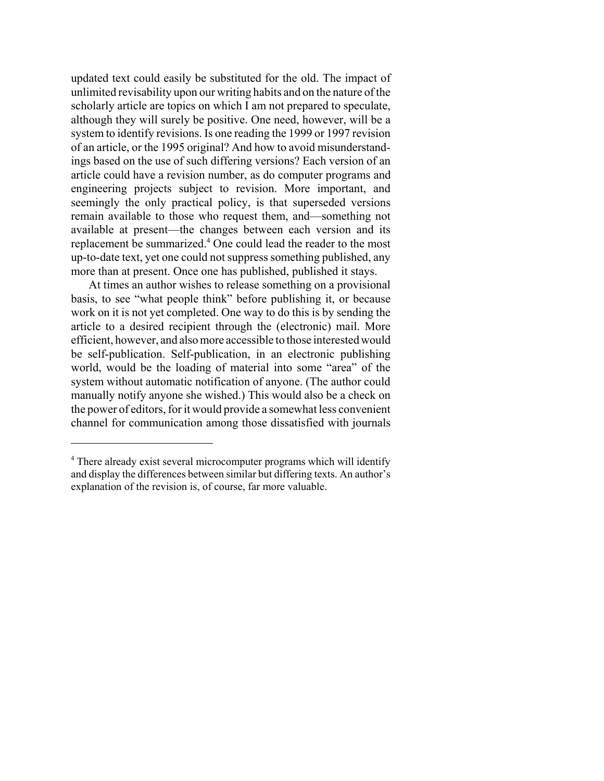updated text could easily be substituted for the old. The impact of unlimited revisability upon our writing habits and on the nature of the scholarly article are topics on which I am not prepared to speculate, although they will surely be positive. One need, however, will be a system to identify revisions. Is one reading the 1999 or 1997 revision of an article, or the 1995 original? And how to avoid misunderstandings based on the use of such differing versions? Each version of an article could have a revision number, as do computer programs and engineering projects subject to revision. More important, and seemingly the only practical policy, is that superseded versions remain available to those who request them, and—something not available at present—the changes between each version and its replacement be summarized.<sup>4</sup> One could lead the reader to the most up-to-date text, yet one could not suppress something published, any more than at present. Once one has published, published it stays.

At times an author wishes to release something on a provisional basis, to see "what people think" before publishing it, or because work on it is not yet completed. One way to do this is by sending the article to a desired recipient through the (electronic) mail. More efficient, however, and also more accessible to those interested would be self-publication. Self-publication, in an electronic publishing world, would be the loading of material into some "area" of the system without automatic notification of anyone. (The author could manually notify anyone she wished.) This would also be a check on the power of editors, for it would provide a somewhat less convenient channel for communication among those dissatisfied with journals

<sup>&</sup>lt;sup>4</sup> There already exist several microcomputer programs which will identify and display the differences between similar but differing texts. An author's explanation of the revision is, of course, far more valuable.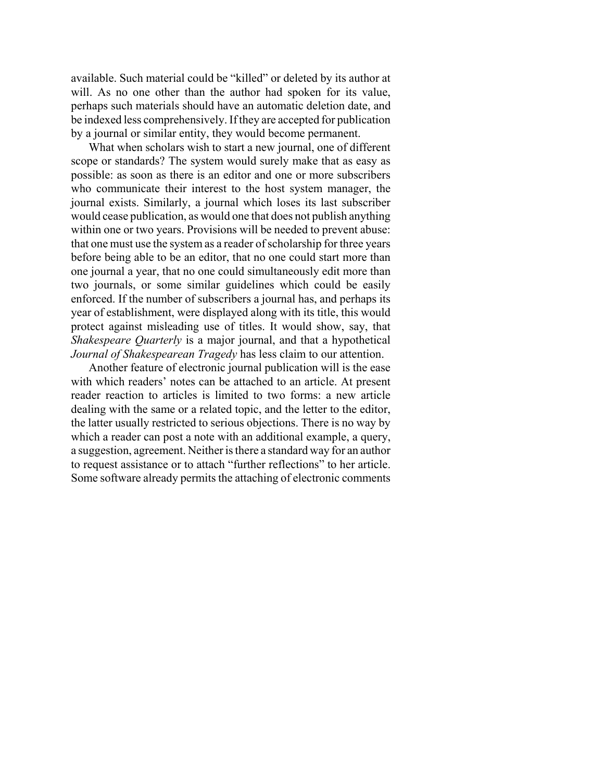available. Such material could be "killed" or deleted by its author at will. As no one other than the author had spoken for its value, perhaps such materials should have an automatic deletion date, and be indexed less comprehensively. If they are accepted for publication by a journal or similar entity, they would become permanent.

What when scholars wish to start a new journal, one of different scope or standards? The system would surely make that as easy as possible: as soon as there is an editor and one or more subscribers who communicate their interest to the host system manager, the journal exists. Similarly, a journal which loses its last subscriber would cease publication, as would one that does not publish anything within one or two years. Provisions will be needed to prevent abuse: that one must use the system as a reader of scholarship for three years before being able to be an editor, that no one could start more than one journal a year, that no one could simultaneously edit more than two journals, or some similar guidelines which could be easily enforced. If the number of subscribers a journal has, and perhaps its year of establishment, were displayed along with its title, this would protect against misleading use of titles. It would show, say, that *Shakespeare Quarterly* is a major journal, and that a hypothetical *Journal of Shakespearean Tragedy* has less claim to our attention.

Another feature of electronic journal publication will is the ease with which readers' notes can be attached to an article. At present reader reaction to articles is limited to two forms: a new article dealing with the same or a related topic, and the letter to the editor, the latter usually restricted to serious objections. There is no way by which a reader can post a note with an additional example, a query, a suggestion, agreement. Neither is there a standard way for an author to request assistance or to attach "further reflections" to her article. Some software already permits the attaching of electronic comments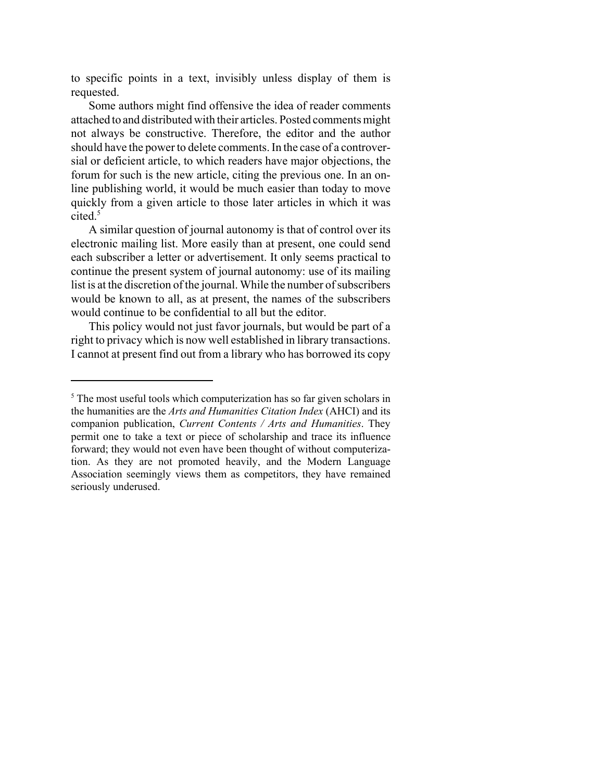to specific points in a text, invisibly unless display of them is requested.

Some authors might find offensive the idea of reader comments attached to and distributed with their articles. Posted comments might not always be constructive. Therefore, the editor and the author should have the power to delete comments. In the case of a controversial or deficient article, to which readers have major objections, the forum for such is the new article, citing the previous one. In an online publishing world, it would be much easier than today to move quickly from a given article to those later articles in which it was cited.<sup>5</sup>

A similar question of journal autonomy is that of control over its electronic mailing list. More easily than at present, one could send each subscriber a letter or advertisement. It only seems practical to continue the present system of journal autonomy: use of its mailing list is at the discretion of the journal. While the number of subscribers would be known to all, as at present, the names of the subscribers would continue to be confidential to all but the editor.

This policy would not just favor journals, but would be part of a right to privacy which is now well established in library transactions. I cannot at present find out from a library who has borrowed its copy

<sup>&</sup>lt;sup>5</sup> The most useful tools which computerization has so far given scholars in the humanities are the *Arts and Humanities Citation Index* (AHCI) and its companion publication, *Current Contents / Arts and Humanities*. They permit one to take a text or piece of scholarship and trace its influence forward; they would not even have been thought of without computerization. As they are not promoted heavily, and the Modern Language Association seemingly views them as competitors, they have remained seriously underused.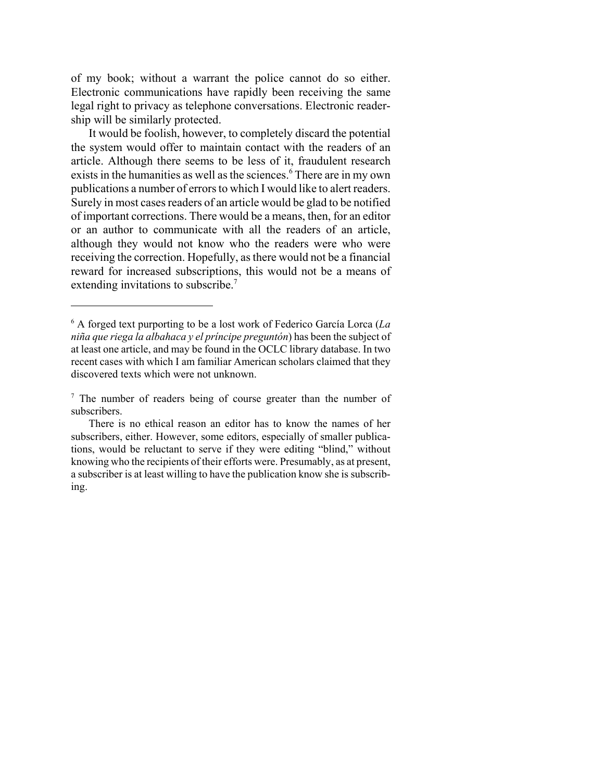of my book; without a warrant the police cannot do so either. Electronic communications have rapidly been receiving the same legal right to privacy as telephone conversations. Electronic readership will be similarly protected.

It would be foolish, however, to completely discard the potential the system would offer to maintain contact with the readers of an article. Although there seems to be less of it, fraudulent research exists in the humanities as well as the sciences.<sup>6</sup> There are in my own publications a number of errors to which I would like to alert readers. Surely in most cases readers of an article would be glad to be notified of important corrections. There would be a means, then, for an editor or an author to communicate with all the readers of an article, although they would not know who the readers were who were receiving the correction. Hopefully, as there would not be a financial reward for increased subscriptions, this would not be a means of extending invitations to subscribe.<sup>7</sup>

<sup>6</sup> A forged text purporting to be a lost work of Federico García Lorca (*La niña que riega la albahaca y el príncipe preguntón*) has been the subject of at least one article, and may be found in the OCLC library database. In two recent cases with which I am familiar American scholars claimed that they discovered texts which were not unknown.

<sup>&</sup>lt;sup>7</sup> The number of readers being of course greater than the number of subscribers.

There is no ethical reason an editor has to know the names of her subscribers, either. However, some editors, especially of smaller publications, would be reluctant to serve if they were editing "blind," without knowing who the recipients of their efforts were. Presumably, as at present, a subscriber is at least willing to have the publication know she is subscribing.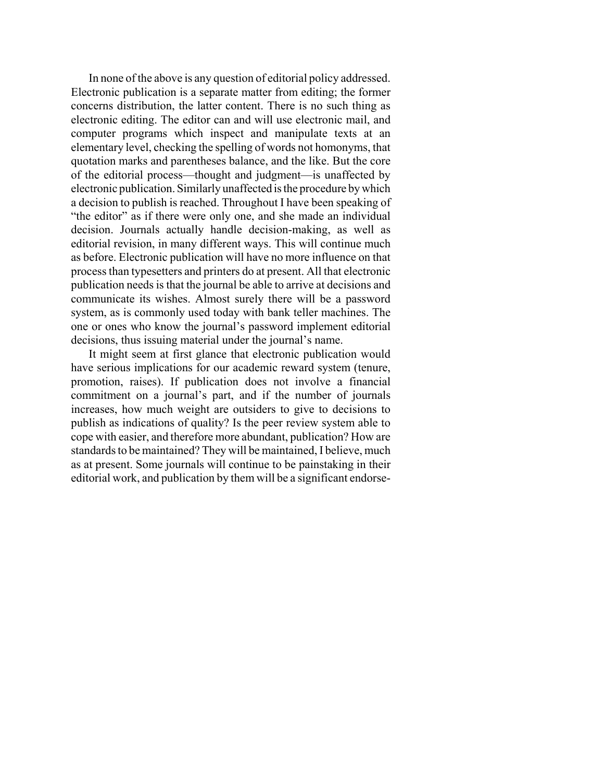In none of the above is any question of editorial policy addressed. Electronic publication is a separate matter from editing; the former concerns distribution, the latter content. There is no such thing as electronic editing. The editor can and will use electronic mail, and computer programs which inspect and manipulate texts at an elementary level, checking the spelling of words not homonyms, that quotation marks and parentheses balance, and the like. But the core of the editorial process—thought and judgment—is unaffected by electronic publication. Similarly unaffected is the procedure by which a decision to publish is reached. Throughout I have been speaking of "the editor" as if there were only one, and she made an individual decision. Journals actually handle decision-making, as well as editorial revision, in many different ways. This will continue much as before. Electronic publication will have no more influence on that process than typesetters and printers do at present. All that electronic publication needs is that the journal be able to arrive at decisions and communicate its wishes. Almost surely there will be a password system, as is commonly used today with bank teller machines. The one or ones who know the journal's password implement editorial decisions, thus issuing material under the journal's name.

It might seem at first glance that electronic publication would have serious implications for our academic reward system (tenure, promotion, raises). If publication does not involve a financial commitment on a journal's part, and if the number of journals increases, how much weight are outsiders to give to decisions to publish as indications of quality? Is the peer review system able to cope with easier, and therefore more abundant, publication? How are standards to be maintained? They will be maintained, I believe, much as at present. Some journals will continue to be painstaking in their editorial work, and publication by them will be a significant endorse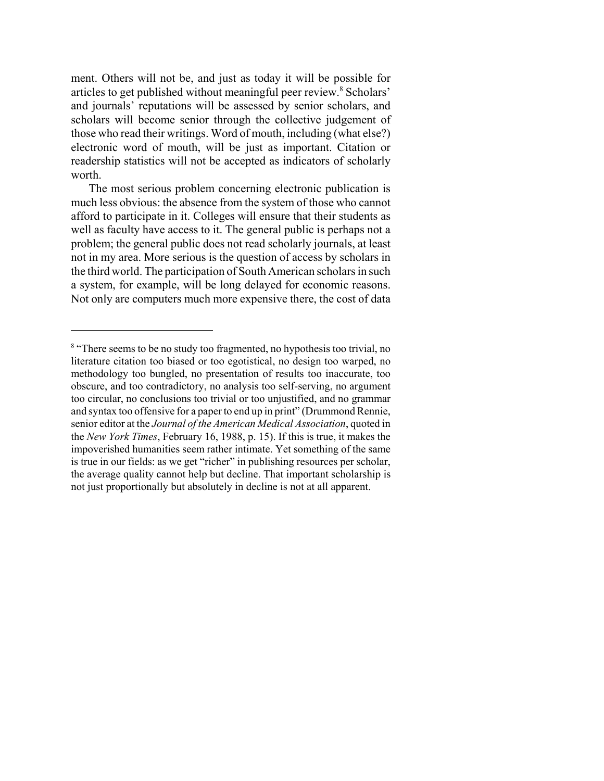ment. Others will not be, and just as today it will be possible for articles to get published without meaningful peer review.<sup>8</sup> Scholars' and journals' reputations will be assessed by senior scholars, and scholars will become senior through the collective judgement of those who read their writings. Word of mouth, including (what else?) electronic word of mouth, will be just as important. Citation or readership statistics will not be accepted as indicators of scholarly worth.

The most serious problem concerning electronic publication is much less obvious: the absence from the system of those who cannot afford to participate in it. Colleges will ensure that their students as well as faculty have access to it. The general public is perhaps not a problem; the general public does not read scholarly journals, at least not in my area. More serious is the question of access by scholars in the third world. The participation of South American scholars in such a system, for example, will be long delayed for economic reasons. Not only are computers much more expensive there, the cost of data

<sup>&</sup>lt;sup>8</sup> "There seems to be no study too fragmented, no hypothesis too trivial, no literature citation too biased or too egotistical, no design too warped, no methodology too bungled, no presentation of results too inaccurate, too obscure, and too contradictory, no analysis too self-serving, no argument too circular, no conclusions too trivial or too unjustified, and no grammar and syntax too offensive for a paper to end up in print" (Drummond Rennie, senior editor at the *Journal of the American Medical Association*, quoted in the *New York Times*, February 16, 1988, p. 15). If this is true, it makes the impoverished humanities seem rather intimate. Yet something of the same is true in our fields: as we get "richer" in publishing resources per scholar, the average quality cannot help but decline. That important scholarship is not just proportionally but absolutely in decline is not at all apparent.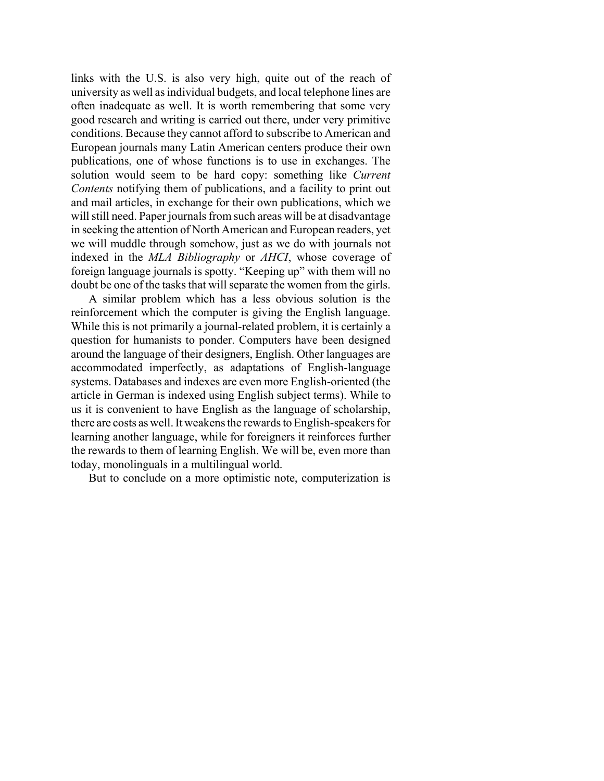links with the U.S. is also very high, quite out of the reach of university as well as individual budgets, and local telephone lines are often inadequate as well. It is worth remembering that some very good research and writing is carried out there, under very primitive conditions. Because they cannot afford to subscribe to American and European journals many Latin American centers produce their own publications, one of whose functions is to use in exchanges. The solution would seem to be hard copy: something like *Current Contents* notifying them of publications, and a facility to print out and mail articles, in exchange for their own publications, which we will still need. Paper journals from such areas will be at disadvantage in seeking the attention of North American and European readers, yet we will muddle through somehow, just as we do with journals not indexed in the *MLA Bibliography* or *AHCI*, whose coverage of foreign language journals is spotty. "Keeping up" with them will no doubt be one of the tasks that will separate the women from the girls.

A similar problem which has a less obvious solution is the reinforcement which the computer is giving the English language. While this is not primarily a journal-related problem, it is certainly a question for humanists to ponder. Computers have been designed around the language of their designers, English. Other languages are accommodated imperfectly, as adaptations of English-language systems. Databases and indexes are even more English-oriented (the article in German is indexed using English subject terms). While to us it is convenient to have English as the language of scholarship, there are costs as well. It weakens the rewards to English-speakers for learning another language, while for foreigners it reinforces further the rewards to them of learning English. We will be, even more than today, monolinguals in a multilingual world.

But to conclude on a more optimistic note, computerization is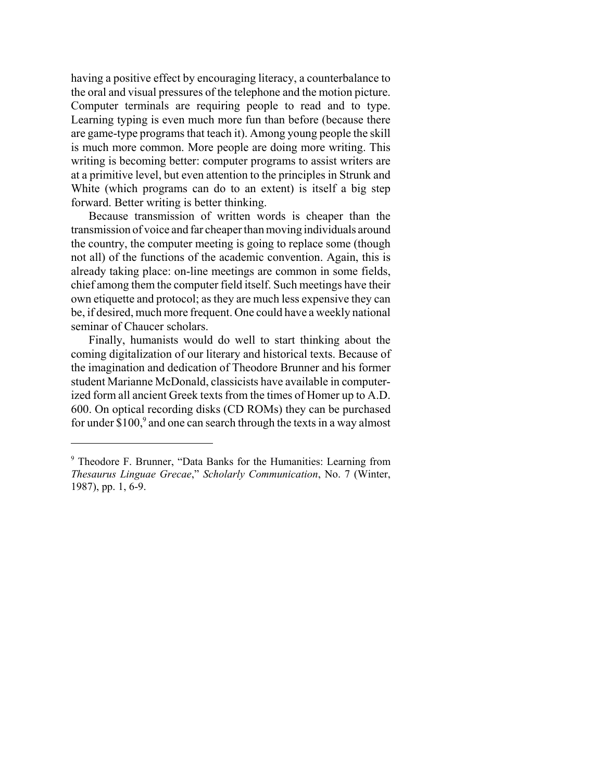having a positive effect by encouraging literacy, a counterbalance to the oral and visual pressures of the telephone and the motion picture. Computer terminals are requiring people to read and to type. Learning typing is even much more fun than before (because there are game-type programs that teach it). Among young people the skill is much more common. More people are doing more writing. This writing is becoming better: computer programs to assist writers are at a primitive level, but even attention to the principles in Strunk and White (which programs can do to an extent) is itself a big step forward. Better writing is better thinking.

Because transmission of written words is cheaper than the transmission of voice and far cheaper than moving individuals around the country, the computer meeting is going to replace some (though not all) of the functions of the academic convention. Again, this is already taking place: on-line meetings are common in some fields, chief among them the computer field itself. Such meetings have their own etiquette and protocol; as they are much less expensive they can be, if desired, much more frequent. One could have a weekly national seminar of Chaucer scholars.

Finally, humanists would do well to start thinking about the coming digitalization of our literary and historical texts. Because of the imagination and dedication of Theodore Brunner and his former student Marianne McDonald, classicists have available in computerized form all ancient Greek texts from the times of Homer up to A.D. 600. On optical recording disks (CD ROMs) they can be purchased for under \$100, $9$  and one can search through the texts in a way almost

<sup>&</sup>lt;sup>9</sup> Theodore F. Brunner, "Data Banks for the Humanities: Learning from *Thesaurus Linguae Grecae*," *Scholarly Communication*, No. 7 (Winter, 1987), pp. 1, 6-9.